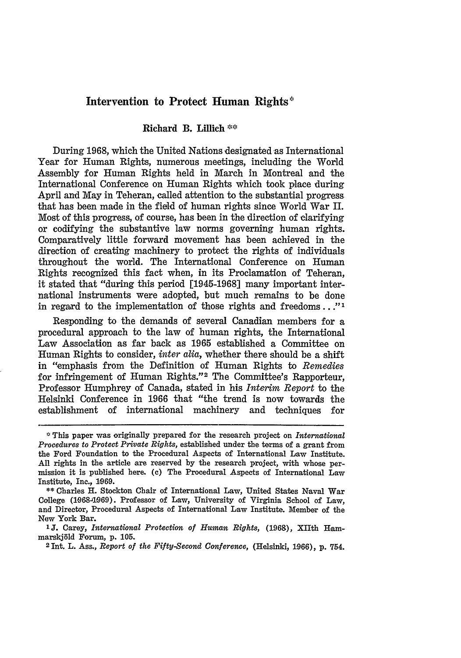# **Intervention to Protect Human Rights'**

### Richard B. Lillich **\*\***

During 1968, which the United Nations designated as International Year for Human Rights, numerous meetings, including the World Assembly for Human Rights held in March in Montreal and the International Conference on Human Rights which took place during April and May in Teheran, called attention to the substantial progress that has been made in the field of human rights since World War II. Most of this progress, of course, has been in the direction of clarifying or codifying the substantive law norms governing human rights. Comparatively little forward movement has been achieved in the direction of creating machinery to protect the rights of individuals throughout the world. The International Conference on Human Rights recognized this fact when, in its Proclamation of Teheran, it stated that "during this period [1945-1968] many important international instruments were adopted, but much remains to be done in regard to the implementation of those rights and freedoms..."'

Responding to the demands of several Canadian members for a procedural approach to the law of human rights, the International Law Association as far back as 1965 established a Committee on Human Rights to consider, *inter alia,* whether there should be a shift in "emphasis from the Definition of Human Rights to *Remedies* for infringement of Human Rights."<sup>2</sup> The Committee's Rapporteur. Professor Humphrey of Canada, stated in his *Interim Report* to the Helsinki Conference in 1966 that "the trend is now towards the establishment of international machinery and techniques

**\*\*** Charles H. Stockton Chair of International Law, United States Naval War College **(19684.969).** Professor of Law, University of Virginia School of Law, and Director, Procedural Aspects of International Law Institute. Member of the New York Bar.

This paper was originally prepared for the research project on *International Procedures to Protect Private Rights,* established under the terms of a grant from the Ford Foundation to the Procedural Aspects of International Law Institute. All rights in the article are reserved by the research project, with whose permission it is published here. **(c)** The Procedural Aspects of International Law Institute, Inc., 1969.

**<sup>&#</sup>x27;J.** Carey, *International Protection of Human Rights,* **(1968),** XIIth Hammarskj~ld Forum, p. **105.** <sup>2</sup> Int. L. Ass., *Report of the Fifty-Second Conference,* (Helsinki, **1966), p.** 754.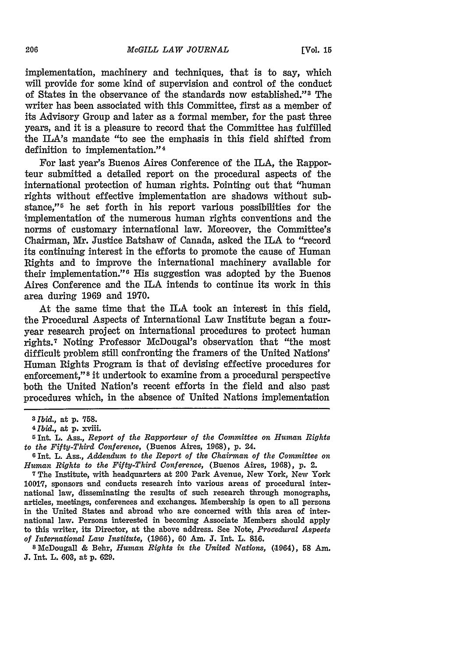implementation, machinery and techniques, that is to say, which will provide for some kind of supervision and control of the conduct of States in the observance of the standards now established."<sup>3</sup> The writer has been associated with this Committee, first as a member of its Advisory Group and later as a formal member, for the past three years, and it is a pleasure to record that the Committee has fulfilled the ILA's mandate "to see the emphasis in this field shifted from definition to implementation." <sup>4</sup>

For last year's Buenos Aires Conference of the ILA, the Rapporteur submitted a detailed report on the procedural aspects of the international protection of human rights. Pointing out that "human rights without effective implementation are shadows without substance,"<sup>5</sup> he set forth in his report various possibilities for the implementation of the numerous human rights conventions and the norms of customary international law. Moreover, the Committee's Chairman, **Mr.** Justice Batshaw of Canada, asked the ILA to "record its continuing interest in the efforts to promote the cause of Human Rights and to improve the international machinery available for their implementation."<sup>6</sup> His suggestion was adopted by the Buenos Aires Conference and the **ILA** intends to continue its work in this area during **1969** and **1970.**

At the same time that the ILA took an interest in this field, the Procedural Aspects of International Law Institute began a fouryear research project on international procedures to protect human rights.<sup>7</sup> Noting Professor McDougal's observation that "the most difficult problem still confronting the framers of the United Nations' Human Rights Program is that of devising effective procedures for enforcement," **<sup>8</sup>**it undertook to examine from a procedural perspective both the United Nation's recent efforts in the field and also past procedures which, in the absence **of** United Nations implementation

**S** McDougall **&** Behr, *Human Rights in the United Nations,* (.1964), **58** Am. **J. Int.** L. **603,** at **p. 629.**

*<sup>3</sup> Ibid.,* at **p. 758.**

**<sup>4</sup>***Ibid.,* at **p.** xviii.

**<sup>5</sup> Int.** L. Ass., *Report of the Rapporteur of the Committee on Human Rights to the Fifty-Third Conference,* (Buenos Aires, **1968),** p. 24.

**<sup>6</sup>**Int. L. Ass., *Addendum to the Report of the Chairman of the Committee on Human Rights to the Fifty-Third Conference,* (Buenos Aires, 1968), p. 2.

**<sup>7</sup>**The Institute, with headquarters at 200 Park Avenue, New York, New York **1001q,** sponsors and conducts research into various areas of procedural international law, disseminating the results of such research through monographs, articles, meetings, conferences and exchanges. Membership is open to all persons in the United States and abroad who are concerned with this area of international law. Persons interested in becoming Associate Members should apply to this writer, its Director, at the above address. See Note, *Procedural Aspects of International Law Institute,* **(1966), 60 Am. J.** Int. L. **816.**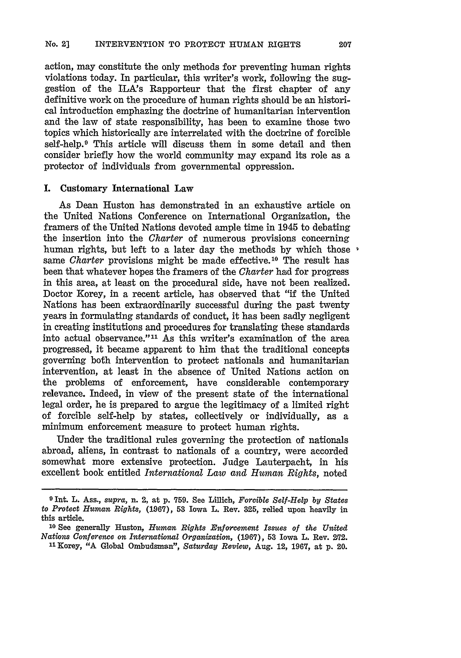action, may constitute the only methods for preventing human rights violations today. In particular, this writer's work, following the suggestion of the ILA's Rapporteur that the first chapter of any definitive work on the procedure of human rights should be an historical introduction emphazing the doctrine of humanitarian intervention and the law of state responsibility, has been to examine those two topics which historically are interrelated with the doctrine of forcible self-help.<sup>9</sup> This article will discuss them in some detail and then consider briefly how the world community may expand its role as a protector of individuals from governmental oppression.

#### I. Customary International Law

As Dean Huston has demonstrated in an exhaustive article on the United Nations Conference on International Organization, the framers of the United Nations devoted ample time in 1945 to debating the insertion into the *Charter* of numerous provisions concerning human rights, but left to a later day the methods by which those  $\cdot$ same *Charter* provisions might be made effective. 10 The result has been that whatever hopes the framers of the *Charter* had for progress in this area, at least on the procedural side, have not been realized. Doctor Korey, in a recent article, has observed that "if the United Nations has been extraordinarily successful during the past twenty years in formulating standards of conduct, it has been sadly negligent in creating institutions and procedures for translating these standards into actual observance."<sup>11</sup> As this writer's examination of the area progressed, it became apparent to him that the traditional concepts governing both intervention to protect nationals and humanitarian intervention, at least in the absence of United Nations action on the problems of enforcement, have considerable contemporary relevance. Indeed, in view of the present state of the international legal order, he is prepared to argue the legitimacy of a limited right of forcible self-help **by** states, collectively or individually, as a minimum enforcement measure to protect human rights.

Under the traditional rules governing the protection of nationals abroad, aliens, in contrast to nationals of a country, were accorded somewhat more extensive protection. Judge Lauterpacht, in his excellent book entitled *International Law and Human Rights,* noted

**<sup>9</sup>** Int. L. Ass., *supra,* n. 2, at **p. 759.** See Lillich, *Forcible Self-Help by States to Protect Human Rights,* **(1967), 53** Iowa L. Rev. **325,** relied upon heavily in this article.

**<sup>10</sup>**See generally Huston, *Human Rights Enforcement Issues of the United Nations Conference on International Organization,* **(1967), 53** Iowa L. Rev. **272.**

<sup>&</sup>quot;Korey, "A Global Ombudsman", *Saturday Review,* Aug. 12, 1967, at **p.** 20.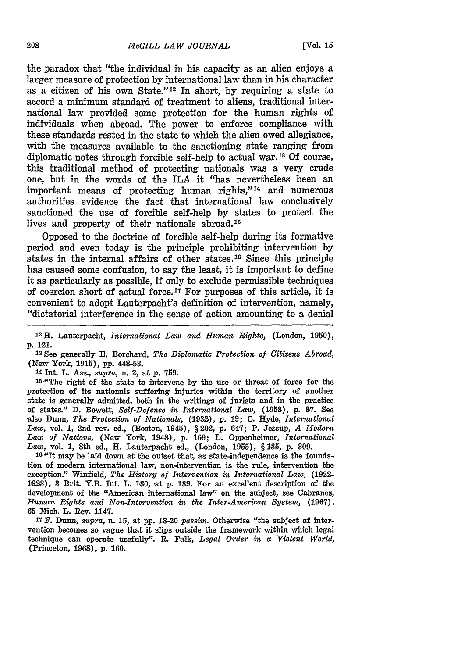the paradox that "the individual in his capacity as an alien enjoys a larger measure of protection by international law than in his character as a citizen of his own State."<sup>12</sup> In short, by requiring a state to accord a minimum standard of treatment to aliens, traditional international law provided some protection for the human rights of individuals when abroad. The power to enforce compliance with these standards rested in the state to which the alien owed allegiance, with the measures available to the sanctioning state ranging from diplomatic notes through forcible self-help to actual war. <sup>13</sup>**Of** course, this traditional method of protecting nationals was a very crude one, but in the words of the ILA it "has nevertheless been an important means of protecting human rights,"<sup>14</sup> and numerous authorities evidence the fact that international law conclusively sanctioned the use of forcible self-help by states to protect the lives and property of their nationals abroad. <sup>15</sup>

Opposed to the doctrine of forcible self-help during its formative period and even today is the principle prohibiting intervention by states in the internal affairs of other states.<sup>16</sup> Since this principle has caused some confusion, to say the least, it is important to define it as particularly as possible, if only to exclude permissible techniques of coercion short of actual force. 17 For purposes of this article, it is convenient to adopt Lauterpacht's definition of intervention, namely, "dictatorial interference in the sense of action amounting to a denial

**12H.** Lauterpacht, *International Law and Human Rights,* (London, 1950), p. 121.

**<sup>13</sup>**See generally **E.** Borchard, *The Diplomatic Protection of Citizens Abroad,* (New York, 1915), pp. 448-53.

**<sup>14</sup>**Int. L. Ass., *supra,* n. 2, at p. 759.

'5,"The right of the state to intervene by the use or threat of force for the protection of its nationals suffering injuries within the territory of another state is generally admited, both in the writings of jurists and in the practice of states." D. Bowett, *Self-Defence in International Law,* (1958), p. **87.** See also Dunn, *The Protection of Nationals,* **(1932),** p. **19; C.** Hyde, *International Law,* vol. 1, 2nd rev. ed., (Boston, 1945), § 202, p. 647; P. Jessup, *A Modern Law of Nations,* (New York, 1048), p. 169; L. Oppenheimer, *International* Law, vol. 1, 8th ed., H. Lauterpacht ed., (London, 1955), § 135, p. 309.

16 "It may be laid down at the outset that, as state-independence is the foundation of modern international law, non-intervention is the rule, intervention the exception." Winfield, *The History of Intervention in International Law,* (1922- 1923), 3 Brit. Y.B. Int. L. 1,30, at p. 139. For an excellent description of the development of the "American international law" on the subject, see Cabranes, *Human Rights and Non-Intervention in the Inter-American System,* (1967), **65** Mich. L. Rev. 1147.

**17 F.** Dunn, *supra,* n. **15,** at **pp.** 18-20 passim. Otherwise "the subject of intervention becomes so vague that it slips outside the framework within which legal technique can operate usefully". R. Falk, *Legal Order in a Violent World,* (Princeton, 1968), p. 160.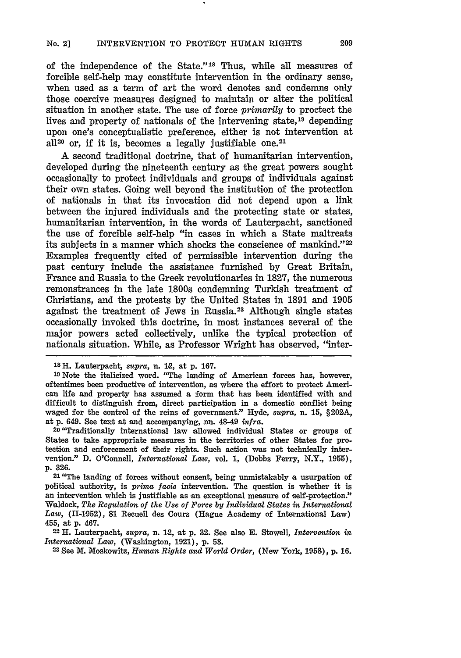of the independence of the State."<sup>18</sup> Thus, while all measures of forcible self-help may constitute intervention in the ordinary sense, when used as a term of art the word denotes and condemns only those coercive measures designed to maintain or alter the political situation in another state. The use of force *primarily* to proctect the lives and property of nationals of the intervening state, 19 depending upon one's conceptualistic preference, either is not intervention at all<sup>20</sup> or, if it is, becomes a legally justifiable one.<sup>21</sup>

A second traditional doctrine, that of humanitarian intervention, developed during the nineteenth century as the great powers sought occasionally to protect individuals and groups of individuals against their own states. Going well beyond the institution of the protection of nationals in that its invocation did not depend upon a link between the injured individuals and the protecting state or states, humanitarian intervention, in the words of Lauterpacht, sanctioned the use of forcible self-help "in cases in which a State maltreats its subjects in a manner which shocks the conscience of mankind."<sup>22</sup> Examples frequently cited of permissible intervention during the past century include the assistance furnished by Great Britain, France and Russia to the Greek revolutionaries in **1827,** the numerous remonstrances in the late 1800s condemning Turkish treatment of Christians, and the protests by the United States in 1891 and 1905 against the treatment of- Jews in Russia. 23 Although single states occasionally invoked this doctrine, in most instances several of the major powers acted collectively, unlike the typical protection of nationals situation. While, as Professor Wright has observed, "inter-

**Is H.** Lauterpacht, *supra,* **n.** 12, at p. **167.**

**<sup>19</sup>**Note the italicized word. "The landing of American forces has, however, oftentimes been productive of intervention, as where the effort to protect American life and property has assumed a form that has been identified with and difficult to distinguish from, direct participation in a domestic conflict being waged for the control of the reins of government." Hyde, *supra,* **n. 15, §202A,** at **p.** 649. See text at and accompanying, **nn.** 48-49 *infra.* <sup>20</sup> "Traditionally international law allowed individual States or groups of

States to take appropriate measures in the territories of other States for protection and enforcement of their rights. Such action was not technically intervention." **D.** O'Connell, *International Law,* vol. **1,** (Dobbs Ferry, N.Y., **1955),** p. **326.**

**21 "The** landing of forces without consent, being unmistakably a usurpation of political authority, is *prima facie* intervention. The question is whether it is an intervention which is justifiable as an exceptional measure of self-protection." Waldock, *The Regulation of the Use of Force by Individual States in International Law,* (11-1952), **81** Recueil des Cours (Hague Academy of International Law) 455, at **p.** 467.

**<sup>22</sup>**H. Lauterpacht, supra, n. 12, at **p. 32.** See also **E.** Stowell, *Intervention in International Law,* (Washington, 1921), **p. 53.** <sup>23</sup> See M. Moskowitz, *Human Rights and World Order,* (New York, **1958), p. 16.**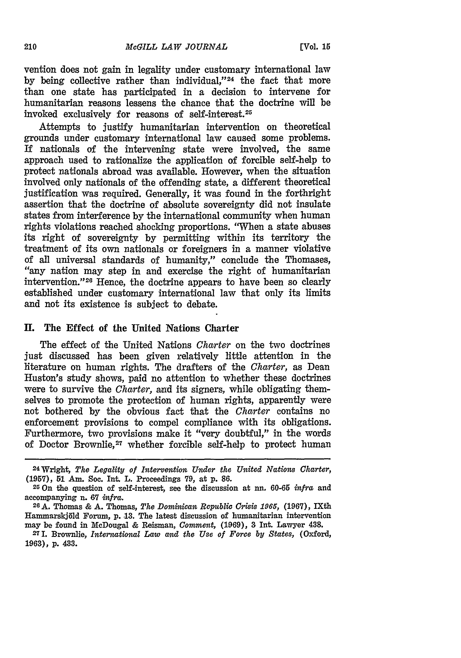vention does not gain in legality under customary international law by being collective rather than individual."<sup>24</sup> the fact that more than one state has participated in a decision to intervene for humanitarian reasons lessens the chance that the doctrine will be invoked exclusively for reasons of self-interest.25

Attempts to justify humanitarian intervention on theoretical grounds under customary international law caused some problems. If nationals of the intervening state were involved, the same approach used to rationalize the application of forcible self-help to protect nationals abroad was available. However, when the situation involved only nationals of the offending state, a different theoretical justification was required. Generally, it was found in the forthright assertion that the doctrine of absolute sovereignty did not insulate states from interference **by** the international community when human rights violations reached shocking proportions. "When a state abuses its right of sovereignty **by** permitting within its territory the treatment of its own nationals or foreigners in a manner violative of all universal standards of humanity," conclude the Thomases, "any nation may step in and exercise the right of humanitarian intervention."<sup>26</sup> Hence, the doctrine appears to have been so clearly established under customary international law that only its limits and not its existence is subject to debate.

## **II.** The Effect of the United Nations Charter

The effect of the United Nations *Charter* on the two doctrines just discussed has been given relatively little attention in the literature on human rights. The drafters of the *Charter,* as Dean Huston's study shows, paid no attention to whether these doctrines were to survive the *Charter*, and its signers, while obligating themselves to promote the protection of human rights, apparently were not bothered by the obvious fact that the *Charter* contains no enforcement provisions to compel compliance with its obligations. Furthermore, two provisions make it "very doubtful," in the words of Doctor Brownlie,<sup>27</sup> whether forcible self-help to protect human

<sup>24</sup>Wright, *The Legality of Intervention Under the United Nations Charter,* **(1957), 51** Am. Soc. Int. L. Proceedings **79,** at **p. 86.**

**<sup>25</sup>**On the question of self-interest, see the discussion at **nn. 60-65** infra and accompanying n. **67** *infra.*

**<sup>26</sup>A.** Thomas **& A.** Thomas, *The Dominican Republic Crisis* **1965, (1967), IXth Hammarskjld Forum, p.-13. The** latest **discussion of humanitarian intervention may be found in McDougal & Reisman,** *Comment,* **(1.969), 3** Int. **Lawyer 438.**

**<sup>271.</sup> Brownlie,** *International Law and the Use of Force by States,* **(Oxford, 1963), p. 433.**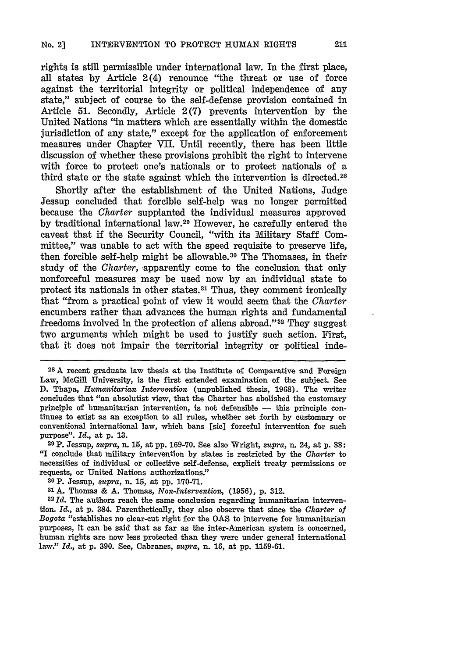ights is still permissible under international law. In the first place, all states **by** Article 2(4) renounce "the threat or use of force against the territorial integrity or political independence of any state," subject of course to the self-defense provision contained in Article **51.** Secondly, Article **2(7)** prevents intervention **by** the United Nations "in matters which are essentially within the domestic jurisdiction of any state," except for the application of enforcement measures under Chapter VII. Until recently, there has been little discussion of whether these provisions prohibit the right to intervene with force to protect one's nationals or to protect nationals of a third state or the state against which the intervention is directed. <sup>28</sup>

Shortly after the establishment of the United Nations, Judge Jessup concluded that forcible self-help was no longer permitted because the *Charter* supplanted the individual measures approved by traditional international law.<sup>29</sup> However, he carefully entered the caveat that if the Security Council, "with its Military Staff Committee," was unable to act with the speed requisite to preserve life, then forcible self-help might be allowable. 30 The Thomases, in their study of the *Charter,* apparently come to the conclusion that only nonforceful measures may be used now **by** an individual state to protect its nationals in other states. 31 Thus, they comment ironically that "from a practical ipoint of view it would seem that the *Charter* encumbers rather than advances the human rights and fundamental freedoms involved in the protection of aliens abroad." 32 They suggest two arguments which might be used to justify such action. First, that it does not impair the territorial integrity or political inde-

**<sup>2</sup> 8 A** recent graduate law thesis at the Institute of Comparative and Foreign Law, McGill University, is the first extended examination of the subject. See **D.** Thapa, *Humanitarian Intervention* (unpublished thesis, **1968).** The writer concludes that "an absolutist view, that the Charter has abolished the customary principle of humanitarian intervention, is not defensible **-** this principle continues to exist as an exception to all rules, whether set forth **by** customary or conventional international law, which bans [sic] forceful intervention for such purpose". *Id.,* at p. **10.**

**<sup>29</sup>**P. Jessup, *supra,* n. 15, at pp. **169-70.** See also Wright, supra, n. 24, at p. 88: "I conclude that military intervention by states is restricted **by** the *Charter* to necessities of individual or collective self-defense, explicit treaty permissions or requests, or United Nations authorizations."

**<sup>31</sup>**A. Thomas **&** A. Thomas, *Non-Intervention,* (1956), p. 312.

**32** *Id.* The authors reach the same conclusion regarding humanitarian intervention. Id., at **p.** 384. Parenthetically, they also observe that since the *Charter of Bogota* "establishes no clear-cut right for the **OAS** to intervene for humanitarian purposes, it can **be** said that as far as the inter-American system is concerned, human rights are now less protected than they were under general international law." *Id.,* at **p. 390.** See, Cabranes, *supra,* n. **16,** at **pp.** 1159-61.

**<sup>30</sup>**P. Jessup, *supra,* n. **15,** at **pp. 170-71.**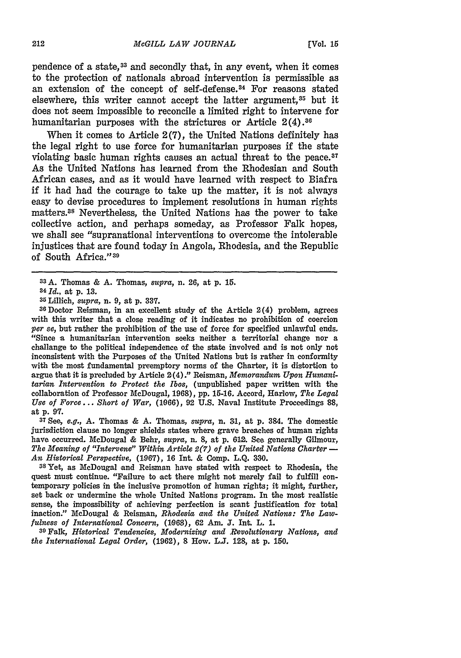pendence of a state,<sup>33</sup> and secondly that, in any event, when it comes to the protection of nationals abroad intervention is permissible as an extension of the concept of self-defense. 34 For reasons stated elsewhere, this writer cannot accept the latter argument,<sup>35</sup> but it does not seem impossible to reconcile a limited right to intervene for humanitarian purposes with the strictures or Article  $2(4).^{36}$ 

When it comes to Article 2(7), the United Nations definitely has the legal right to use force for humanitarian purposes if the state violating basic human rights causes an actual threat to the peace.<sup>37</sup> As the United Nations has learned from the Rhodesian and South African cases, and as it would have learned with respect to Biafra if it had had the courage to take up the matter, it is not always easy to devise procedures to implement resolutions in human rights matters.<sup>38</sup> Nevertheless, the United Nations has the power to take collective action, and perhaps someday, as Professor Falk hopes, we shall see "supranational interventions to overcome the intolerable injustices that are found today in Angola, Rhodesia, and the Republic of South Africa." <sup>39</sup>

35 Lillich, *supra,* **n.** 9, at p. **337.** <sup>36</sup> Doctor Reisman, in an excellent study of the Article 2(4) problem, agrees with this writer that a close reading of it indicates no prohibition of coercion *per se,* but rather the prohibition of the use of force for specified unlawful ends. "Since a humanitarian intervention seeks neither a territorial change nor a challange to the political independence of the state involved and is not only not inconsistent with the Purposes of the United Nations but is rather in conformity with the most fundamental preemptory norms of the Charter, it is distortion to argue that it is precluded by Article 2(4)." Reisman, *Memorandum Upon Humanitarian Intervention to Protect the Tbos,* (unpublished paper written with the collaboration of Professor McDougal, 1968), **pp. 15-16.** Accord, Harlow, *The Legal Use of Force... Short of War, (1966),* 92 U.S. Naval Institute Proceedings **88,** at p. 97.

**<sup>37</sup>**See, *e.g.,* A. Thomas & A. Thomas, *supra,* n. **31,** at p. 384. The domestic jurisdiction clause no longer shields states where grave breaches of human rights have occurred. McDougal & Behr, *supra,* n. 8, at p. **612.** See generally Gilmour, *The Meaning of "Intervene" Within Article 2(7) of the United Nations Charter*  $-$ *An Historical Perspective,* (1967), 16 **Int.** & Comp. L.Q. 330.

**38** Yet, as McDougal and Reisman have stated with respect to Rhodesia, the quest must continue. "Failure to act there might not merely fail to fulfill contemporary policies in the inclusive promotion of human rights; it might, further, set back or undermine the whole United Nations program. In the most realistic sense, the impossibility of achieving perfection is scant justification for total inaction." McDougal & Reisman, *Rhodesia and the United Nations: The Lawfulness of International Concern,* **(1968),** 62 Am. **J.** Int. L. **1.**

**<sup>39</sup>**Falk, *Historical Tendencies, Modernizing and Revolutionary Nations, and the International Legal Order,* (1962), **8** How. L.J. 128, at p. 150.

**<sup>33</sup> A.** Thomas & A. Thomas, *supra,* n. 26, at p. 15.

*<sup>34</sup> Id.,* at p. **13.**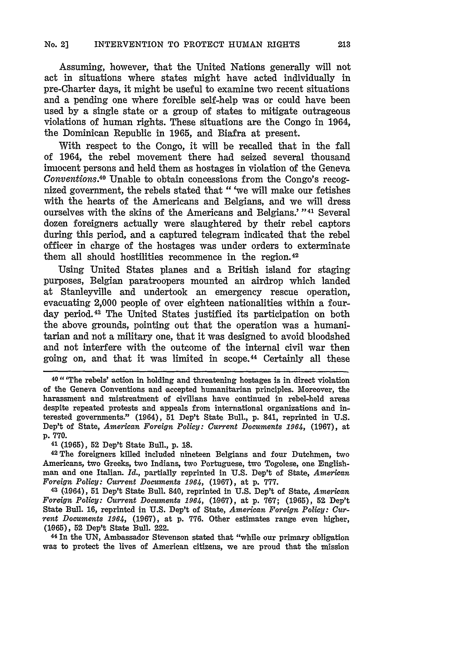Assuming, however, that the United Nations generally will not act in situations where states might have acted individually in pre-Charter days, it might be useful to examine two recent situations and a pending one where forcible self-help was or could have been used by a single state or a group of states to mitigate outrageous violations of human rights. These situations are the Congo in 1964, the Dominican Republic in 1965, and Biafra at present.

With respect to the Congo, it will be recalled that in the fall of 1964, the rebel movement there had seized several thousand innocent persons and held them as hostages in violation of the Geneva *Conventions.*<sup>40</sup> Unable to obtain concessions from the Congo's recognized government, the rebels stated that "'we will make our fetishes with the hearts of the Americans and Belgians, and we will dress ourselves with the skins of the Americans and Belgians.' "<sup>41</sup> Several dozen foreigners actually were slaughtered by their rebel captors during this period, and a captured telegram indicated that the rebel officer in charge of the hostages was under orders to exterminate them all should hostilities recommence in the region.42

Using United States planes and a British island for staging purposes, Belgian paratroopers mounted an airdrop which landed at Stanleyville and undertook an emergency rescue operation, evacuating 2,000 people of over eighteen nationalities within a fourday period. 43 The United States justified its participation on both the above grounds, pointing out that the operation was a humanitarian and not a military one, that it was designed to avoid bloodshed and not interfere with the outcome of the internal civil war then going on, and that it was limited in scope. 44 Certainly all these

**<sup>41</sup>**(1965), **52** Dep't State Bull., **p. 18.**

<sup>42</sup>**The** foreigners killed included nineteen Belgians and four Dutchmen, two Americans, two Greeks, two Indians, two Portuguese, two Togolese, one Englishman and one Italian. *Id.,* partially reprinted in **U.S.** Dep't of State, *American Foreign Policy: Current Documents 1964,* **(1967),** at **p. 777.**

43 (1964), 51 Dep't State Bull. 840, reprinted in U.S. Dep't of State, *American Foreign Policy: Current Documents 1964,* **(1,967),** at **p.** 767; **(1965), 52** Dep't State Bull. **16,** reprinted in U.S. Dep't of State, *American Foreign Policy: Current Documents 1964,* (1967), at p. 776. Other estimates range even higher, (1965), 52 Dep't State Bull. 222.

**<sup>44</sup>**In the **UN,** Ambassador Stevenson stated that "while our primary obligation was to protect the lives of American citizens, we are proud that the mission

**<sup>40</sup>**" 'The rebels' action in holding and threatening hostages is in direct violation of the Geneva Conventions and accepted humanitarian principles. Moreover, the harassment and mistreatment of civilians have continued in rebel-held areas despite repeated protests and appeals from international organizations and interested governments." (1964), **51** Dep't State Bull., p. 841, reprinted in U.S. Dep't of State, *American Foreign Policy: Current Documents 1964,* (1967), at p. 770.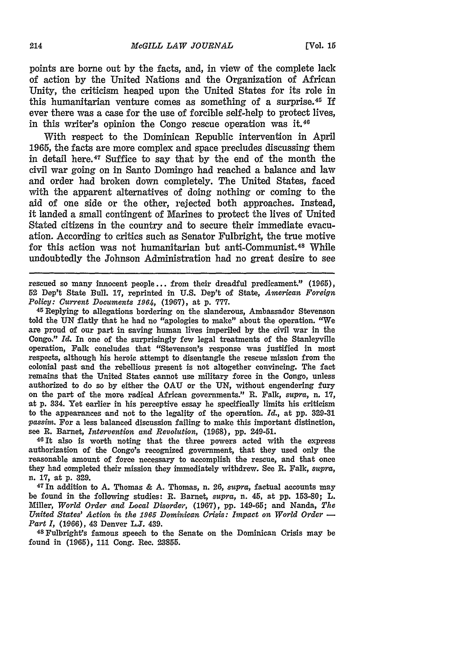points are borne out **by** the facts, and, in view of the complete lack of action **by** the United Nations and the Organization of African Unity, the criticism heaped upon the United States for its role in this humanitarian venture comes as something of a surprise.<sup>45</sup> If ever there was a case for the use of forcible self-help to protect lives, in this writer's opinion the Congo rescue operation was it.<sup>4</sup>

With respect to the Dominican Republic intervention in April **1965,** the facts are more complex and space precludes discussing them in detail here.47 Suffice to say that **by** the end of the month the civil war going on in Santo Domingo had reached a balance and law and order had broken down completely. The United States, faced with the apparent alternatives of doing nothing or coming to the aid of one side or the other, rejected both approaches. Instead, it landed a small contingent of Marines to protect the lives of United Stated citizens in the country and to secure their immediate evacuation. According to critics such as Senator Fulbright, the true motive for this action was not humanitarian but anti-Communist.<sup>48</sup> While undoubtedly the Johnson Administration had no great desire to see

rescued so many innocent people.., from their dreadful predicament." **(1965), 52** Dep't State Bull. **17,** reprinted in **U.S.** Dep't of State, *American Foreign Policy: Current Documents* 1964, **(1967),** at p. **777.**

45Replying to allegations bordering on the slanderous, Ambassador Stevenson told the **UN** flatly that he had no "apologies to make" about the operation. "We are proud of our part in saving human lives imperiled **by** the civil war in the Congo." *Id.* In one of the surprisingly few legal treatments of the Stanleyville operation, Falk concludes that "Stevenson's response was justified in most respects, although his heroic attempt to disentangle the rescue mission from the colonial past and the rebellious present is not altogether convincing. The fact remains that the United States cannot use military force in the Congo, unless authorized to do so **by** either the **OAU** or the **UN,** without engendering fury on the part of the more radical African governments." R. Falk, *supra,* n. **17,** at **p.** 334. Yet earlier in his perceptive essay he specifically limits his criticism to the appearances and not to the legality of the operation. *Id.,* at **pp. &29-31** *passim.* For a less balanced discussion failing to make this important distinction, see R. Barnet, *Intervention and Revolution,* **(1968), pp.** 249-51.

**46It** also is worth noting that the three powers acted with the express authorization of the Congo's recognized government, that they used only the reasonable amount of force necessary to accomplish the rescue, and that once they had completed their mission they immediately withdrew. See R. Falk, *supra,* n. **17,** at **p. 329.**

<sup>47</sup>**In** addition to **A.** Thomas **& A.** Thomas, n. **26,** *supra,* factual accounts may be found in the following studies: R. Barnet, supra, n. 45, at **pp. 153-80;** L. Miller, *World Order and Local Disorder,* **(1967), pp.** 149-65; and Nanda, *The United States' Action in the 1965 Dominican Crisis: Impact on World Order*  $-$ *Part I*, (1966), 43 Denver L.J. 439.

<sup>48</sup> Fulbright's famous speech to the Senate on the Dominican Crisis may be found in **(1965), 111** Cong. Rec. **23855.**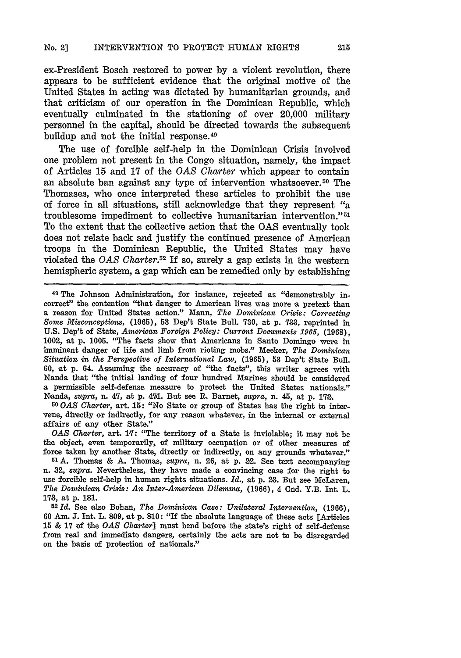ex-President Bosch restored to power **by** a violent revolution, there appears to be sufficient evidence that the original motive of the United States in acting was dictated by humanitarian grounds, and that criticism of our operation in the Dominican Republic, which eventually culminated in the stationing of over 20,000 military personnel in the capital, should be directed towards the subsequent buildup and not the initial response. <sup>49</sup>

The use of forcible self-help in the Dominican Crisis involved one problem not present in the Congo situation, namely, the impact of Articles **15** and 17 of the *OAS Charter* which appear to contain an absolute ban against any type of intervention whatsoever. 50 The Thomases, who once interpreted these articles to prohibit the use of force in all situations, still acknowledge that they represent "a troublesome impediment to collective humanitarian intervention." 51 To the extent that the collective action that the **OAS** eventually took does not relate back and justify the continued presence of American troops in the Dominican Republic, the United States may have violated the *OAS Charter.52* If so, surely a gap exists in the western hemispheric system, a gap which can be remedied only by establishing

**49** The Johnson Administration, for instance, rejected as "demonstrably incorrect' the contention "that danger to American lives was more a pretext than a reason for United States action." Mann, *The Dominican Crisis: Correcting Some Misconceptions,* (1965), **53** Dep't State Bull. 730, at **p. 783,** reprinted in U.S. Dep't of State, American *Foreign Policy: Current Documents 1965,* (1968), 1002, at p. 1005. "The facts show that Americans in Santo Domingo were in imminent danger of life and limb from rioting mobs." Meeker, *The Dominican Situation in the Perspective of International Law,* (1965), 53 Dep't State Bull. 60, at p. 64. Assuming the accuracy of "the facts", this writer agrees with Nanda that "the initial landing of four hundred Marines should be considered a permissible self-defense measure to protect the United States nationals.' Nanda, *supra,* n. 47, at p. 471. But see R. Barnet, supra, n. 45, at p. 172.

*50 OAS Charter,* art. **15:** "No State or group of States has the right to intervene, directly or indirectly, for any reason whatever, in the internal or external affairs of any other State.'

*OAS Charter,* **art.** l: "The territory of a State is inviolable; it may not be the object, even temporarily, of military occupation or of other measures of force taken by another State, directly or indirectly, on any grounds whatever."

51 A. Thomas & A. Thomas, *supra,* n. **26,** at p. 22. See text accompanying n. 32, supra. Nevertheless, they have made a convincing case for the right to use forcible self-help in human rights situations. *Id.,* at p. **23.** But see MeLaren, *The Dominican Crisis: An Inter-Americau Dilemma,* **(1966),** 4 Cnd. Y.B. **Int.** L. **178,** at **p. 181.**

**<sup>52</sup>***Id.* See also Bohan, *The Dominican Case: Unilateral Intervention,* **(1966),** 60 Am. **J.** Int. L. 809, at p. 810: "If the absolute language of these acts [Articles 15 & 17 of the *OAS Charter]* must bend before the state's right of self-defense from real and immediate dangers, certainly the acts are not to be disregarded on the basis of protection of nationals."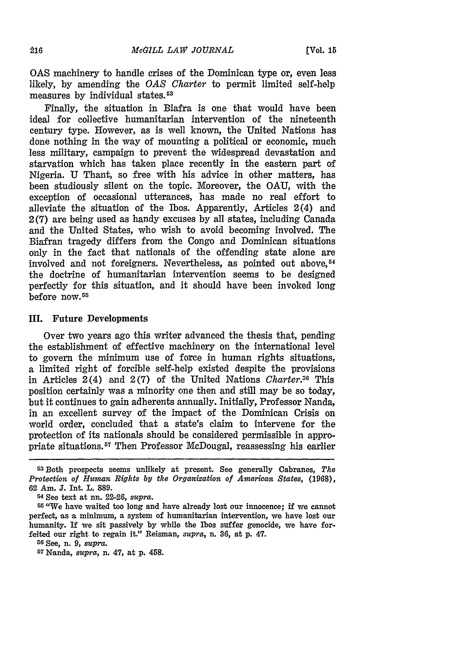**OAS** machinery to handle crises of the Dominican type or, even less likely, by amending the *OAS* Charter to permit limited self-help measures by individual states.53

Finally, the situation in Biafra is one that would have been ideal for collective humanitarian intervention of the nineteenth century type. However, as is well known, the United Nations has done nothing in the way of mounting a political or economic, much less military, campaign to prevent the widespread devastation and starvation which has taken place recently in the eastern part of Nigeria. U Thant, so free with his advice in other matters, has been studiously silent on the topic. Moreover, the OAU, with the exception of occasional utterances, has made no real effort to alleviate the situation of the Ibos. Apparently, Articles 2(4) and 2 **(7)** are being used as handy excuses by all states, including Canada and the United States, who wish to avoid becoming involved. The Biafran tragedy differs from the Congo and Dominican situations only in the fact that nationals of the offending state alone are involved and not foreigners. Nevertheless, as pointed out above,<sup>54</sup> the doctrine of humanitarian intervention seems to be designed perfectly for this situation, and it should have been invoked long before now. 5r

#### **II.** Future Developments

Over two years ago this writer advanced the thesis that, pending the establishment of effective machinery on the international level to govern the minimum use of force in human rights situations, a limited right of forcible self-help existed despite the provisions in Articles 2(4) and 2(7) of the United Nations *Charter.50* This position certainly was a minority one then and still may be so today, but it continues to gain adherents annually. Initially, Professor Nanda, in an excellent survey of the impact of the Dominican Crisis on world order, concluded that a state's claim to intervene for the protection of its nationals should be considered permissible in appropriate situations.57 Then Professor McDougal, reassessing his earlier

**<sup>5</sup> Both** prospects seems unlikely at present. See generally Cabranes, *The Protection of Human Rights by the Organization of American States,* (1968), **62** Am. **J.** Int. L. **889.**

<sup>54</sup> See text at nn. 22-26, *supra.*

Gr "We have waited too long and have already lost our innocence; if we cannot perfect, as a minimum, a system of humanitarian intervention, we have lost our humanity. If we sit passively **by** while the Ibos suffer genocide, we have forfeited our right to regain it." Reisman, *supra,* n. **36,** at p. 47.

GO See, **n.** *9, supra.*

<sup>57</sup> Nanda, *supra,* **n.** 47, at **p.** 458.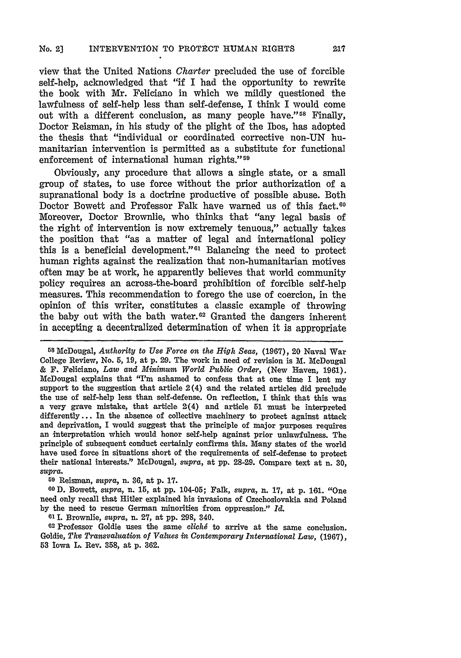view that the United Nations *Charter* precluded the use of forcible self-help, acknowledged that "if I had the opportunity to rewrite the book with Mr. Feliciano in which we mildly questioned the lawfulness of self-help less than self-defense, I think I would come out with a different conclusion, as many people have."<sup>58</sup> Finally, Doctor Reisman, in his study of the plight of the Ibos, has adopted the thesis that "individual or coordinated corrective non-UN humanitarian intervention is permitted as a substitute for functional enforcement of international human rights."<sup>59</sup>

Obviously, any procedure that allows a single state, or a small group of states, to use force without the prior authorization of a supranational body is a doctrine productive of possible abuse. Both Doctor Bowett and Professor Falk have warned us of this fact.<sup>60</sup> Moreover, Doctor Brownlie, who thinks that "any legal basis of the right of intervention is now extremely tenuous," actually takes the position that "as a matter of legal and international policy this is a beneficial development." $61$  Balancing the need to protect human rights against the realization that non-humanitarian motives often may be at work, he apparently believes that world community policy requires an across-the-board prohibition of forcible self-help measures. This recommendation to forego the use of coercion, in the opinion of this writer, constitutes a classic example of throwing the baby out with the bath water. 62 Granted the dangers inherent in accepting a decentralized determination of when it is appropriate

**<sup>58</sup>**McDougal, *Authority to Use Force on the High Seas,* **(1,967),** 20 Naval War College Review, No. 5, **19,** at p. **29.** The work in need of revision is M. McDougal **&** F. Feliciano, *Law and Minimum World Public Order,* (New Haven, **1961).** McDougal explains that "I'm ashamed to confess that at one time I lent my support to the suggestion that article  $2(4)$  and the related articles did preclude the use of self-help less than self-defense. On reflection, I think that this was a very grave mistake, that article 2(4) and article **51** must be interpreted differently... In the absence of collective machinery to protect against attack and deprivation, I would suggest that the principle of major purposes requires an interpretation which would honor self-help against prior unlawfulness. The principle of subsequent conduct certainly confirms this. Many states of the world have used force in situations short of the requirements of self-defense to protect their national interests." McDougal, *supra,* at **pp.** 28-29. Compare text at n. **30,** supra.

**<sup>69</sup>**Reisman, *supra,* n. **36,** at **p. 17.**

**GOD.** Bowett, *supra,* n. **15,** at **pp.** 104-05; Falk, *supra,* n. **17,** at **p. 161.** "One need only recall that Hitler explained his invasions of Czechoslovakia and Poland by the need to rescue German minorities from oppression." *Id.*

**<sup>61</sup>**.Brownlie, supra, n. **27,** at pp. 298, 340.

**<sup>02</sup>**Professor Goldie uses the same *clichg* to arrive at the same conclusion. Goldie, *The Transvaluation of Values in Contemporary International Law,* **(1967), 53** Iowa L. Rev. **358,** at p. 362.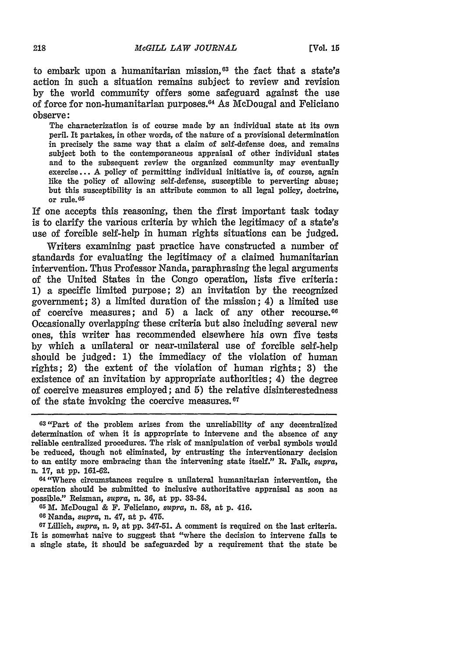to embark upon a humanitarian mission, $63$  the fact that a state's action in such a situation remains subject to review and revision **by** the world community offers some safeguard against the use of force for non-humanitarian purposes. 64 As McDougal and Feliciano observe:

The characterization is of course made **by** an individual state at its own peril. It partakes, in other words, of the nature of a provisional determination in precisely the same way that a claim of self-defense does, and remains subject both to the contemporaneous appraisal of other individual states and to the subsequent review the organized community may eventually exercise... **A** policy of permitting individual initiative is, of course, again like the policy of allowing self-defense, susceptible to perverting abuse; but this susceptibility is an attribute common to all legal policy, doctrine, or rule. <sup>6</sup> 5

**If** one accepts this reasoning, then the first important task today is to clarify the various criteria **by** which the legitimacy of a state's use of forcible self-help in human rights situations can be judged.

Writers examining past practice have constructed a number of standards for evaluating the legitimacy of a claimed humanitarian intervention. Thus Professor Nanda, paraphrasing the legal arguments of the United States in the Congo operation, lists five criteria: **1)** a specific limited purpose; 2) an invitation **by** the recognized government; **3)** a limited duration of the mission; 4) a limited use of coercive measures; and **5)** a lack of any other recourse. <sup>06</sup> Occasionally overlapping these criteria but also including several new ones, this writer has recommended elsewhere his own five tests **by** which a unilateral or near-unilateral use of forcible self-help should be judged: **1)** the immediacy of the violation of human rights; 2) the extent of the violation of human rights; **3)** the existence of an invitation **by** appropriate authorities; 4) the degree of coercive measures employed; and **5)** the relative disinterestedness of the state invoking the coercive measures. $67$ 

<sup>64</sup> "Where circumstances require a unilateral humanitarian intervention, the operation should be submitted to inclusive authoritative appraisal as soon as possible." Reisman, *supra,* n. **36,** at **pp.** 33-34.

**65 M.** McDougal **&** F. Feliciano, *supra,* n. **58,** at **p.** 416.

**<sup>66</sup>**Nanda, *supra,* n. 47, at **p.** 475.

<sup>67</sup> Lillich, *supra,* n. **9,** at **pp. 347-51. A** comment is required on the last criteria. It is somewhat naive to suggest that "where the decision to intervene falls to a single state, it should be safeguarded **by** a requirement that the state be

**<sup>63</sup>**"Part of the problem arises from the unreliability of any decentralized determination of when it is appropriate to intervene and the absence of any reliable centralized procedures. The risk of manipulation of verbal symbols would be reduced, though not eliminated, **by** entrusting the interventionary decision to an entity more embracing than the intervening state itself." R. Falk, *supra,* n. **17,** at **pp. 161-62.**